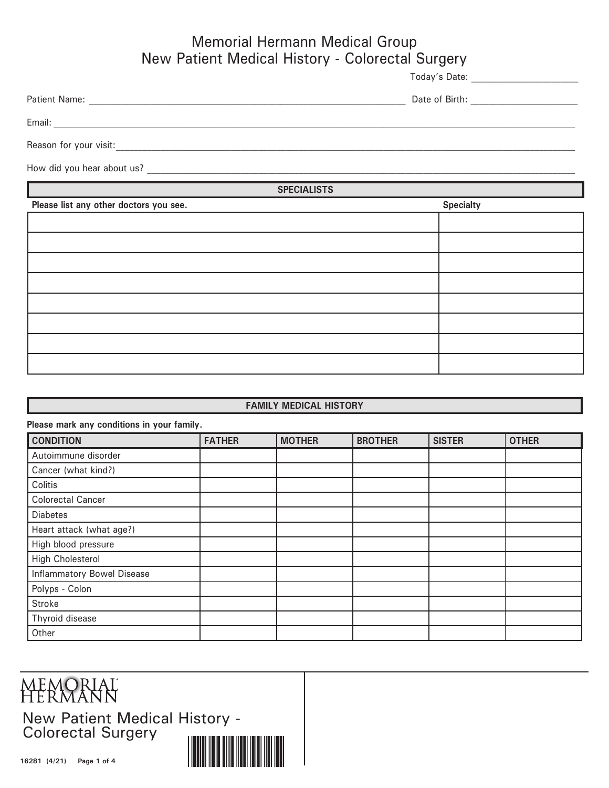## Memorial Hermann Medical Group New Patient Medical History - Colorectal Surgery

Today's Date: \_\_\_\_\_\_\_\_\_\_\_\_\_\_\_\_\_\_\_\_\_\_\_\_

| Patient Name: | .<br>Date of Birth: |  |
|---------------|---------------------|--|
|               |                     |  |

Email: \_\_\_\_\_\_\_\_\_\_\_\_\_\_\_\_\_\_\_\_\_\_\_\_\_\_\_\_\_\_\_\_\_\_\_\_\_\_\_\_\_\_\_\_\_\_\_\_\_\_\_\_\_\_\_\_\_\_\_\_\_\_\_\_\_\_\_\_\_\_\_\_\_\_\_\_\_\_\_\_\_\_\_\_\_\_\_\_\_\_\_\_\_\_\_\_\_\_\_\_\_\_\_\_\_\_\_\_\_\_\_\_\_\_\_\_\_

Reason for your visit:

How did you hear about us? \_\_\_\_\_\_\_\_\_\_\_\_\_\_\_\_\_\_\_\_\_\_\_\_\_\_\_\_\_\_\_\_\_\_\_\_\_\_\_\_\_\_\_\_\_\_\_\_\_\_\_\_\_\_\_\_\_\_\_\_\_\_\_\_\_\_\_\_\_\_\_\_\_\_\_\_\_\_\_\_\_\_\_\_\_\_\_\_\_\_\_\_\_\_\_\_

**SPECIALISTS**

| Please list any other doctors you see. | <b>Specialty</b> |
|----------------------------------------|------------------|
|                                        |                  |
|                                        |                  |
|                                        |                  |
|                                        |                  |
|                                        |                  |
|                                        |                  |
|                                        |                  |
|                                        |                  |

## **FAMILY MEDICAL HISTORY**

| Please mark any conditions in your family. |               |               |                |               |              |
|--------------------------------------------|---------------|---------------|----------------|---------------|--------------|
| <b>CONDITION</b>                           | <b>FATHER</b> | <b>MOTHER</b> | <b>BROTHER</b> | <b>SISTER</b> | <b>OTHER</b> |
| Autoimmune disorder                        |               |               |                |               |              |
| Cancer (what kind?)                        |               |               |                |               |              |
| Colitis                                    |               |               |                |               |              |
| <b>Colorectal Cancer</b>                   |               |               |                |               |              |
| <b>Diabetes</b>                            |               |               |                |               |              |
| Heart attack (what age?)                   |               |               |                |               |              |
| High blood pressure                        |               |               |                |               |              |
| High Cholesterol                           |               |               |                |               |              |
| <b>Inflammatory Bowel Disease</b>          |               |               |                |               |              |
| Polyps - Colon                             |               |               |                |               |              |
| Stroke                                     |               |               |                |               |              |
| Thyroid disease                            |               |               |                |               |              |
| Other                                      |               |               |                |               |              |

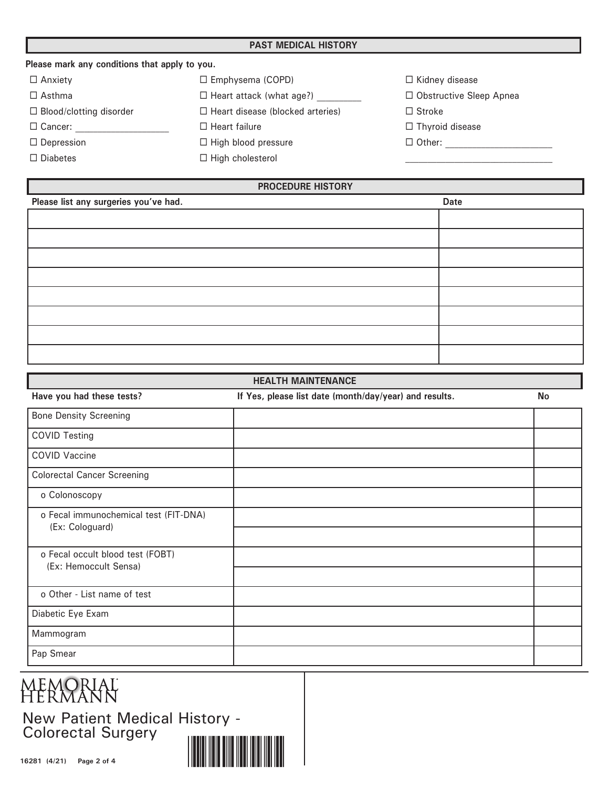| Please mark any conditions that apply to you. |                                         |                                |
|-----------------------------------------------|-----------------------------------------|--------------------------------|
| $\Box$ Anxiety                                | $\Box$ Emphysema (COPD)                 | $\Box$ Kidney disease          |
| $\Box$ Asthma                                 | $\Box$ Heart attack (what age?)         | $\Box$ Obstructive Sleep Apnea |
| $\Box$ Blood/clotting disorder                | $\Box$ Heart disease (blocked arteries) | $\Box$ Stroke                  |
| $\Box$ Cancer:                                | $\Box$ Heart failure                    | $\Box$ Thyroid disease         |
| $\Box$ Depression                             | $\Box$ High blood pressure              | $\Box$ Other:                  |
| $\Box$ Diabetes                               | $\Box$ High cholesterol                 |                                |

| <b>PROCEDURE HISTORY</b>              |             |  |  |  |  |
|---------------------------------------|-------------|--|--|--|--|
| Please list any surgeries you've had. | <b>Date</b> |  |  |  |  |
|                                       |             |  |  |  |  |
|                                       |             |  |  |  |  |
|                                       |             |  |  |  |  |
|                                       |             |  |  |  |  |
|                                       |             |  |  |  |  |
|                                       |             |  |  |  |  |
|                                       |             |  |  |  |  |
|                                       |             |  |  |  |  |
|                                       |             |  |  |  |  |
|                                       |             |  |  |  |  |

| <b>HEALTH MAINTENANCE</b>                                |                                                        |           |  |  |  |
|----------------------------------------------------------|--------------------------------------------------------|-----------|--|--|--|
| Have you had these tests?                                | If Yes, please list date (month/day/year) and results. | <b>No</b> |  |  |  |
| <b>Bone Density Screening</b>                            |                                                        |           |  |  |  |
| <b>COVID Testing</b>                                     |                                                        |           |  |  |  |
| <b>COVID Vaccine</b>                                     |                                                        |           |  |  |  |
| <b>Colorectal Cancer Screening</b>                       |                                                        |           |  |  |  |
| o Colonoscopy                                            |                                                        |           |  |  |  |
| o Fecal immunochemical test (FIT-DNA)<br>(Ex: Cologuard) |                                                        |           |  |  |  |
|                                                          |                                                        |           |  |  |  |
| o Fecal occult blood test (FOBT)                         |                                                        |           |  |  |  |
| (Ex: Hemoccult Sensa)                                    |                                                        |           |  |  |  |
| o Other - List name of test                              |                                                        |           |  |  |  |
| Diabetic Eye Exam                                        |                                                        |           |  |  |  |
| Mammogram                                                |                                                        |           |  |  |  |
| Pap Smear                                                |                                                        |           |  |  |  |

## **MEMORIAL**<br>HERMANN

New Patient Medical History - Colorectal Surgery

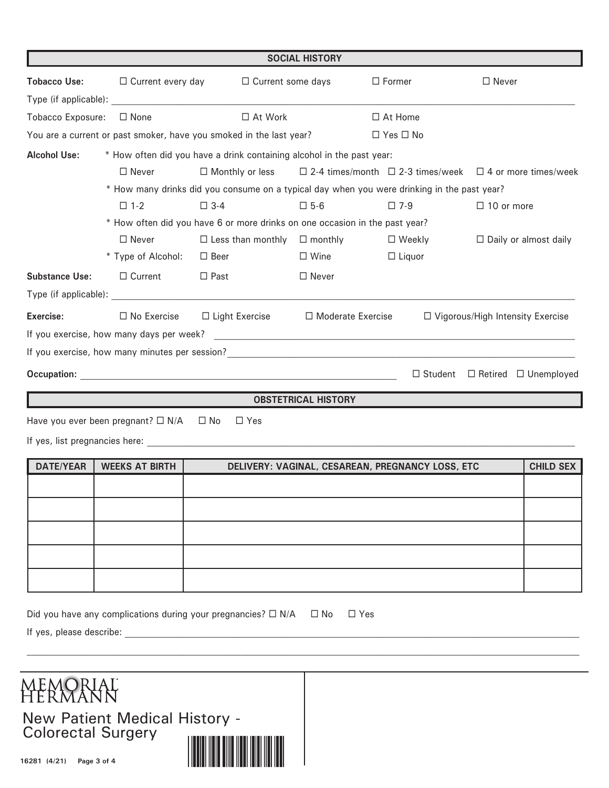|                                 |                                                         |                                                                                                                                                                                                                                                                                                      | <b>SOCIAL HISTORY</b>                                                    |                                                  |                                                 |                  |  |  |  |  |
|---------------------------------|---------------------------------------------------------|------------------------------------------------------------------------------------------------------------------------------------------------------------------------------------------------------------------------------------------------------------------------------------------------------|--------------------------------------------------------------------------|--------------------------------------------------|-------------------------------------------------|------------------|--|--|--|--|
| <b>Tobacco Use:</b>             | $\Box$ Current every day                                | $\Box$ Current some days                                                                                                                                                                                                                                                                             |                                                                          | $\Box$ Former                                    | $\Box$ Never                                    |                  |  |  |  |  |
|                                 |                                                         |                                                                                                                                                                                                                                                                                                      |                                                                          |                                                  |                                                 |                  |  |  |  |  |
| Tobacco Exposure:               | $\Box$ None                                             | $\Box$ At Work                                                                                                                                                                                                                                                                                       |                                                                          | $\Box$ At Home                                   |                                                 |                  |  |  |  |  |
|                                 |                                                         | You are a current or past smoker, have you smoked in the last year?                                                                                                                                                                                                                                  |                                                                          | $\Box$ Yes $\Box$ No                             |                                                 |                  |  |  |  |  |
| <b>Alcohol Use:</b>             |                                                         | * How often did you have a drink containing alcohol in the past year:                                                                                                                                                                                                                                |                                                                          |                                                  |                                                 |                  |  |  |  |  |
|                                 | $\Box$ Never                                            | $\Box$ Monthly or less                                                                                                                                                                                                                                                                               | $\Box$ 2-4 times/month $\Box$ 2-3 times/week $\Box$ 4 or more times/week |                                                  |                                                 |                  |  |  |  |  |
|                                 |                                                         | * How many drinks did you consume on a typical day when you were drinking in the past year?                                                                                                                                                                                                          |                                                                          |                                                  |                                                 |                  |  |  |  |  |
|                                 | $\square$ 1-2                                           | $\square$ 3-4                                                                                                                                                                                                                                                                                        | $\square$ 5-6                                                            | $\square$ 7-9                                    | $\Box$ 10 or more                               |                  |  |  |  |  |
|                                 |                                                         | * How often did you have 6 or more drinks on one occasion in the past year?                                                                                                                                                                                                                          |                                                                          |                                                  |                                                 |                  |  |  |  |  |
|                                 | $\Box$ Never                                            | $\Box$ Less than monthly $\Box$ monthly                                                                                                                                                                                                                                                              |                                                                          | $\Box$ Weekly                                    | $\Box$ Daily or almost daily                    |                  |  |  |  |  |
|                                 | * Type of Alcohol:                                      | $\Box$ Beer                                                                                                                                                                                                                                                                                          | $\Box$ Wine                                                              | $\Box$ Liquor                                    |                                                 |                  |  |  |  |  |
| <b>Substance Use:</b>           | $\Box$ Current                                          | $\Box$ Past                                                                                                                                                                                                                                                                                          | $\Box$ Never                                                             |                                                  |                                                 |                  |  |  |  |  |
|                                 |                                                         | Type (if applicable): Type (if applicable) and the state of the state of the state of the state of the state of the state of the state of the state of the state of the state of the state of the state of the state of the st                                                                       |                                                                          |                                                  |                                                 |                  |  |  |  |  |
| Exercise:<br>$\Box$ No Exercise |                                                         | $\Box$ Light Exercise<br>□ Moderate Exercise                                                                                                                                                                                                                                                         |                                                                          | $\Box$ Vigorous/High Intensity Exercise          |                                                 |                  |  |  |  |  |
|                                 |                                                         |                                                                                                                                                                                                                                                                                                      |                                                                          |                                                  |                                                 |                  |  |  |  |  |
|                                 |                                                         |                                                                                                                                                                                                                                                                                                      |                                                                          |                                                  |                                                 |                  |  |  |  |  |
|                                 |                                                         |                                                                                                                                                                                                                                                                                                      |                                                                          |                                                  | $\Box$ Student $\Box$ Retired $\Box$ Unemployed |                  |  |  |  |  |
|                                 |                                                         |                                                                                                                                                                                                                                                                                                      | <b>OBSTETRICAL HISTORY</b>                                               |                                                  |                                                 |                  |  |  |  |  |
|                                 | Have you ever been pregnant? $\square$ N/A $\square$ No | $\Box$ Yes                                                                                                                                                                                                                                                                                           |                                                                          |                                                  |                                                 |                  |  |  |  |  |
|                                 |                                                         |                                                                                                                                                                                                                                                                                                      |                                                                          |                                                  |                                                 |                  |  |  |  |  |
| <b>DATE/YEAR</b>                | <b>WEEKS AT BIRTH</b>                                   |                                                                                                                                                                                                                                                                                                      |                                                                          | DELIVERY: VAGINAL, CESAREAN, PREGNANCY LOSS, ETC |                                                 | <b>CHILD SEX</b> |  |  |  |  |
|                                 |                                                         |                                                                                                                                                                                                                                                                                                      |                                                                          |                                                  |                                                 |                  |  |  |  |  |
|                                 |                                                         |                                                                                                                                                                                                                                                                                                      |                                                                          |                                                  |                                                 |                  |  |  |  |  |
|                                 |                                                         |                                                                                                                                                                                                                                                                                                      |                                                                          |                                                  |                                                 |                  |  |  |  |  |
|                                 |                                                         |                                                                                                                                                                                                                                                                                                      |                                                                          |                                                  |                                                 |                  |  |  |  |  |
|                                 |                                                         |                                                                                                                                                                                                                                                                                                      |                                                                          |                                                  |                                                 |                  |  |  |  |  |
|                                 |                                                         |                                                                                                                                                                                                                                                                                                      |                                                                          |                                                  |                                                 |                  |  |  |  |  |
|                                 |                                                         | Did you have any complications during your pregnancies? $\Box$ N/A<br>If yes, please describe: Letter and the set of the set of the set of the set of the set of the set of the set of the set of the set of the set of the set of the set of the set of the set of the set of the set of the set of | $\Box$ No                                                                | $\square$ Yes                                    |                                                 |                  |  |  |  |  |

New Patient Medical History - Colorectal Surgery